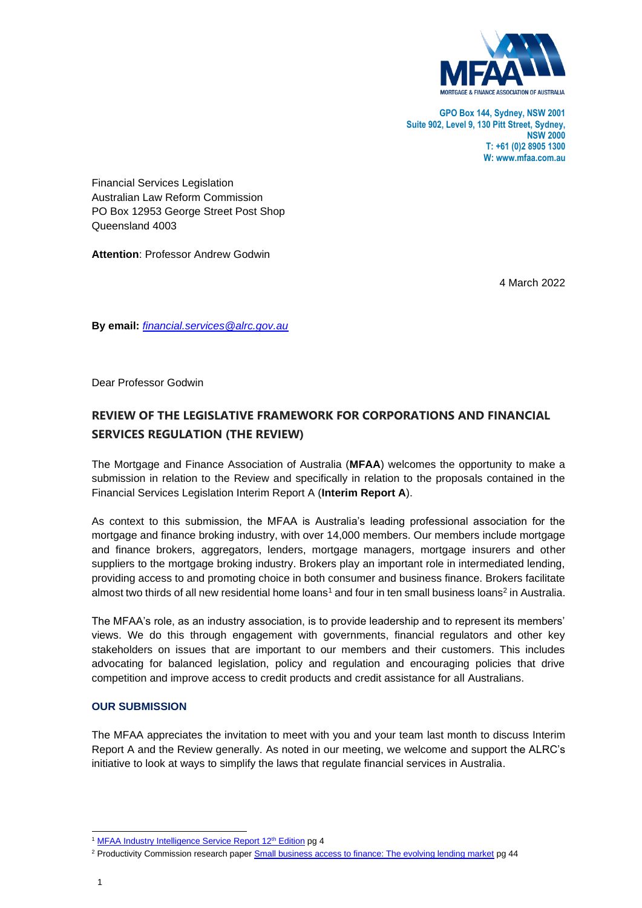

**GPO Box 144, Sydney, NSW 2001 Suite 902, Level 9, 130 Pitt Street, Sydney, NSW 2000 T: +61 (0)2 8905 1300 W: www.mfaa.com.au**

Financial Services Legislation Australian Law Reform Commission PO Box 12953 George Street Post Shop Queensland 4003

**Attention**: Professor Andrew Godwin

4 March 2022

**By email:** *financial.services@alrc.gov.au*

Dear Professor Godwin

# **REVIEW OF THE LEGISLATIVE FRAMEWORK FOR CORPORATIONS AND FINANCIAL SERVICES REGULATION (THE REVIEW)**

The Mortgage and Finance Association of Australia (**MFAA**) welcomes the opportunity to make a submission in relation to the Review and specifically in relation to the proposals contained in the Financial Services Legislation Interim Report A (**Interim Report A**).

As context to this submission, the MFAA is Australia's leading professional association for the mortgage and finance broking industry, with over 14,000 members. Our members include mortgage and finance brokers, aggregators, lenders, mortgage managers, mortgage insurers and other suppliers to the mortgage broking industry. Brokers play an important role in intermediated lending, providing access to and promoting choice in both consumer and business finance. Brokers facilitate almost two thirds of all new residential home loans<sup>1</sup> and four in ten small business loans<sup>2</sup> in Australia.

The MFAA's role, as an industry association, is to provide leadership and to represent its members' views. We do this through engagement with governments, financial regulators and other key stakeholders on issues that are important to our members and their customers. This includes advocating for balanced legislation, policy and regulation and encouraging policies that drive competition and improve access to credit products and credit assistance for all Australians.

### **OUR SUBMISSION**

The MFAA appreciates the invitation to meet with you and your team last month to discuss Interim Report A and the Review generally. As noted in our meeting, we welcome and support the ALRC's initiative to look at ways to simplify the laws that regulate financial services in Australia.

<sup>&</sup>lt;sup>1</sup> MFAA Industry Intelligence Service Report 12<sup>th</sup> Edition pg 4

<sup>&</sup>lt;sup>2</sup> Productivity Commission research paper **Small business access to finance: The evolving lending market pg 44**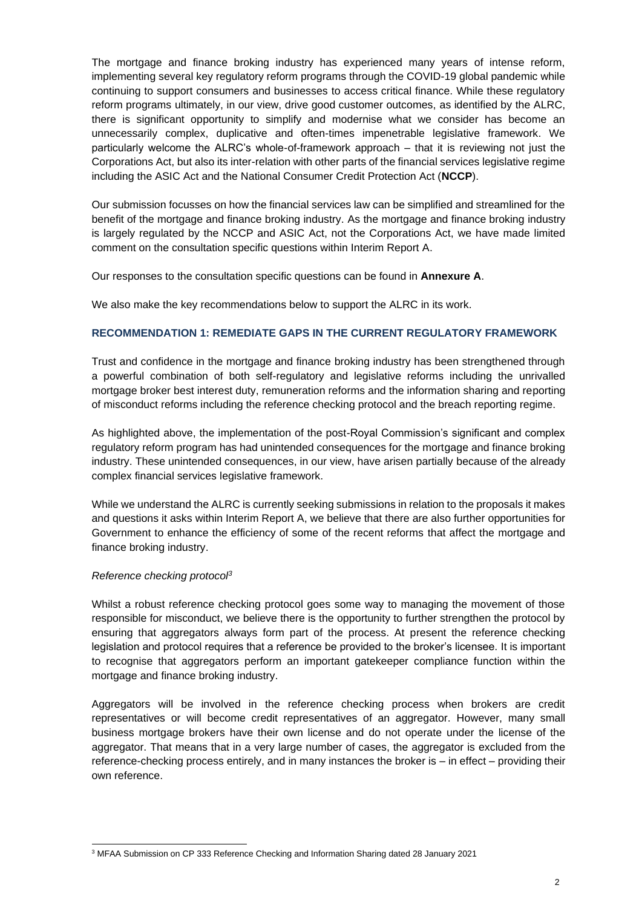The mortgage and finance broking industry has experienced many years of intense reform, implementing several key regulatory reform programs through the COVID-19 global pandemic while continuing to support consumers and businesses to access critical finance. While these regulatory reform programs ultimately, in our view, drive good customer outcomes, as identified by the ALRC, there is significant opportunity to simplify and modernise what we consider has become an unnecessarily complex, duplicative and often-times impenetrable legislative framework. We particularly welcome the ALRC's whole-of-framework approach – that it is reviewing not just the Corporations Act, but also its inter-relation with other parts of the financial services legislative regime including the ASIC Act and the National Consumer Credit Protection Act (**NCCP**).

Our submission focusses on how the financial services law can be simplified and streamlined for the benefit of the mortgage and finance broking industry. As the mortgage and finance broking industry is largely regulated by the NCCP and ASIC Act, not the Corporations Act, we have made limited comment on the consultation specific questions within Interim Report A.

Our responses to the consultation specific questions can be found in **Annexure A**.

We also make the key recommendations below to support the ALRC in its work.

### **RECOMMENDATION 1: REMEDIATE GAPS IN THE CURRENT REGULATORY FRAMEWORK**

Trust and confidence in the mortgage and finance broking industry has been strengthened through a powerful combination of both self-regulatory and legislative reforms including the unrivalled mortgage broker best interest duty, remuneration reforms and the information sharing and reporting of misconduct reforms including the reference checking protocol and the breach reporting regime.

As highlighted above, the implementation of the post-Royal Commission's significant and complex regulatory reform program has had unintended consequences for the mortgage and finance broking industry. These unintended consequences, in our view, have arisen partially because of the already complex financial services legislative framework.

While we understand the ALRC is currently seeking submissions in relation to the proposals it makes and questions it asks within Interim Report A, we believe that there are also further opportunities for Government to enhance the efficiency of some of the recent reforms that affect the mortgage and finance broking industry.

### *Reference checking protocol<sup>3</sup>*

Whilst a robust reference checking protocol goes some way to managing the movement of those responsible for misconduct, we believe there is the opportunity to further strengthen the protocol by ensuring that aggregators always form part of the process. At present the reference checking legislation and protocol requires that a reference be provided to the broker's licensee. It is important to recognise that aggregators perform an important gatekeeper compliance function within the mortgage and finance broking industry.

Aggregators will be involved in the reference checking process when brokers are credit representatives or will become credit representatives of an aggregator. However, many small business mortgage brokers have their own license and do not operate under the license of the aggregator. That means that in a very large number of cases, the aggregator is excluded from the reference-checking process entirely, and in many instances the broker is – in effect – providing their own reference.

<sup>3</sup> MFAA Submission on CP 333 Reference Checking and Information Sharing dated 28 January 2021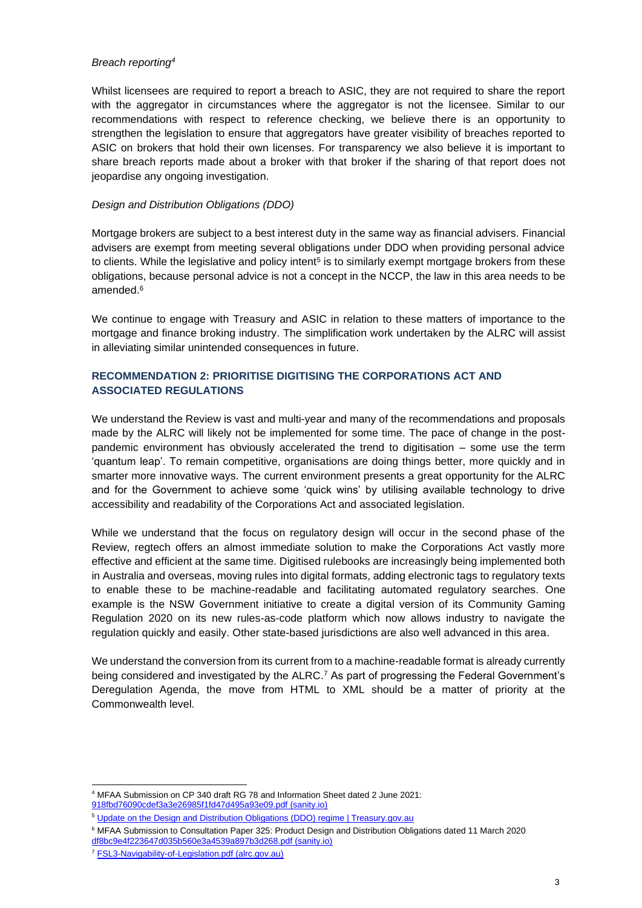#### *Breach reporting<sup>4</sup>*

Whilst licensees are required to report a breach to ASIC, they are not required to share the report with the aggregator in circumstances where the aggregator is not the licensee. Similar to our recommendations with respect to reference checking, we believe there is an opportunity to strengthen the legislation to ensure that aggregators have greater visibility of breaches reported to ASIC on brokers that hold their own licenses. For transparency we also believe it is important to share breach reports made about a broker with that broker if the sharing of that report does not jeopardise any ongoing investigation.

### *Design and Distribution Obligations (DDO)*

Mortgage brokers are subject to a best interest duty in the same way as financial advisers. Financial advisers are exempt from meeting several obligations under DDO when providing personal advice to clients. While the legislative and policy intent<sup>5</sup> is to similarly exempt mortgage brokers from these obligations, because personal advice is not a concept in the NCCP, the law in this area needs to be amended. 6

We continue to engage with Treasury and ASIC in relation to these matters of importance to the mortgage and finance broking industry. The simplification work undertaken by the ALRC will assist in alleviating similar unintended consequences in future.

## **RECOMMENDATION 2: PRIORITISE DIGITISING THE CORPORATIONS ACT AND ASSOCIATED REGULATIONS**

We understand the Review is vast and multi-year and many of the recommendations and proposals made by the ALRC will likely not be implemented for some time. The pace of change in the postpandemic environment has obviously accelerated the trend to digitisation – some use the term 'quantum leap'. To remain competitive, organisations are doing things better, more quickly and in smarter more innovative ways. The current environment presents a great opportunity for the ALRC and for the Government to achieve some 'quick wins' by utilising available technology to drive accessibility and readability of the Corporations Act and associated legislation.

While we understand that the focus on regulatory design will occur in the second phase of the Review, regtech offers an almost immediate solution to make the Corporations Act vastly more effective and efficient at the same time. Digitised rulebooks are increasingly being implemented both in Australia and overseas, moving rules into digital formats, adding electronic tags to regulatory texts to enable these to be machine-readable and facilitating automated regulatory searches. One example is the NSW Government initiative to create a digital version of its Community Gaming Regulation 2020 on its new rules-as-code platform which now allows industry to navigate the regulation quickly and easily. Other state-based jurisdictions are also well advanced in this area.

We understand the conversion from its current from to a machine-readable format is already currently being considered and investigated by the ALRC. <sup>7</sup> As part of progressing the Federal Government's Deregulation Agenda, the move from HTML to XML should be a matter of priority at the Commonwealth level.

<sup>4</sup> MFAA Submission on CP 340 draft RG 78 and Information Sheet dated 2 June 2021: 918fbd76090cdef3a3e26985f1fd47d495a93e09.pdf (sanity.io)

<sup>&</sup>lt;sup>5</sup> Update on the Design and Distribution Obligations (DDO) regime | Treasury.gov.au

<sup>6</sup> MFAA Submission to Consultation Paper 325: Product Design and Distribution Obligations dated 11 March 2020 df8bc9e4f223647d035b560e3a4539a897b3d268.pdf (sanity.io)

<sup>7</sup> FSL3-Navigability-of-Legislation.pdf (alrc.gov.au)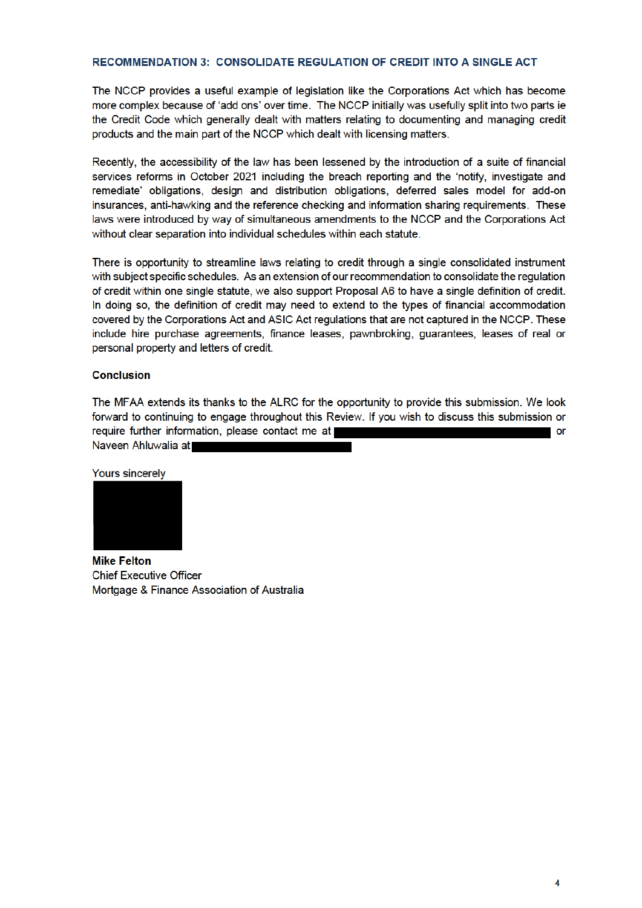### **RECOMMENDATION 3: CONSOLIDATE REGULATION OF CREDIT INTO A SINGLE ACT**

The NCCP provides a useful example of legislation like the Corporations Act which has become more complex because of 'add ons' over time. The NCCP initially was usefully split into two parts ie the Credit Code which generally dealt with matters relating to documenting and managing credit products and the main part of the NCCP which dealt with licensing matters.

Recently, the accessibility of the law has been lessened by the introduction of a suite of financial services reforms in October 2021 including the breach reporting and the 'notify, investigate and remediate' obligations, design and distribution obligations, deferred sales model for add-on insurances, anti-hawking and the reference checking and information sharing requirements. These laws were introduced by way of simultaneous amendments to the NCCP and the Corporations Act without clear separation into individual schedules within each statute.

There is opportunity to streamline laws relating to credit through a single consolidated instrument with subject specific schedules. As an extension of our recommendation to consolidate the regulation of credit within one single statute, we also support Proposal A6 to have a single definition of credit. In doing so, the definition of credit may need to extend to the types of financial accommodation covered by the Corporations Act and ASIC Act regulations that are not captured in the NCCP. These include hire purchase agreements, finance leases, pawnbroking, guarantees, leases of real or personal property and letters of credit.

### **Conclusion**

The MFAA extends its thanks to the ALRC for the opportunity to provide this submission. We look forward to continuing to engage throughout this Review. If you wish to discuss this submission or require further information, please contact me at or

Naveen Ahluwalia at

**Yours sincerely** 



**Mike Felton Chief Executive Officer** Mortgage & Finance Association of Australia